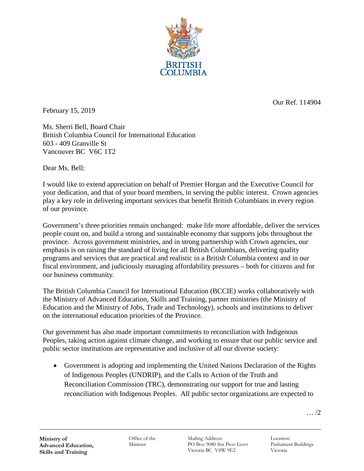

February 15, 2019

Our Ref. 114904

Ms. Sherri Bell, Board Chair British Columbia Council for International Education 603 - 409 Granville St Vancouver BC V6C 1T2

Dear Ms. Bell:

I would like to extend appreciation on behalf of Premier Horgan and the Executive Council for your dedication, and that of your board members, in serving the public interest. Crown agencies play a key role in delivering important services that benefit British Columbians in every region of our province.

Government's three priorities remain unchanged: make life more affordable, deliver the services people count on, and build a strong and sustainable economy that supports jobs throughout the province. Across government ministries, and in strong partnership with Crown agencies, our emphasis is on raising the standard of living for all British Columbians, delivering quality programs and services that are practical and realistic in a British Columbia context and in our fiscal environment, and judiciously managing affordability pressures – both for citizens and for our business community.

The British Columbia Council for International Education (BCCIE) works collaboratively with the Ministry of Advanced Education, Skills and Training, partner ministries (the Ministry of Education and the Ministry of Jobs, Trade and Technology), schools and institutions to deliver on the international education priorities of the Province.

Our government has also made important commitments to reconciliation with Indigenous Peoples, taking action against climate change, and working to ensure that our public service and public sector institutions are representative and inclusive of all our diverse society:

• Government is adopting and implementing the United Nations Declaration of the Rights of Indigenous Peoples (UNDRIP), and the Calls to Action of the Truth and Reconciliation Commission (TRC), demonstrating our support for true and lasting reconciliation with Indigenous Peoples. All public sector organizations are expected to

… /2

Office of the Minister

Mailing Address: PO Box 9080 Stn Prov Govt Victoria BC V8W 9E2

Location: Parliament Buildings Victoria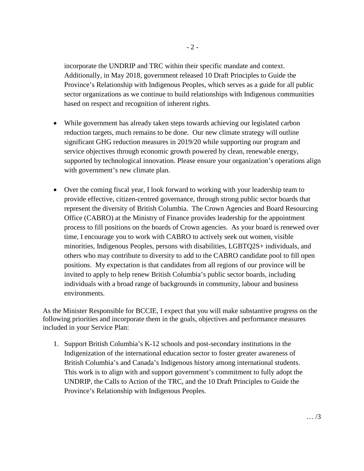incorporate the UNDRIP and TRC within their specific mandate and context. Additionally, in May 2018, government released 10 Draft Principles to Guide the Province's Relationship with Indigenous Peoples, which serves as a guide for all public sector organizations as we continue to build relationships with Indigenous communities based on respect and recognition of inherent rights.

- While government has already taken steps towards achieving our legislated carbon reduction targets, much remains to be done. Our new climate strategy will outline significant GHG reduction measures in 2019/20 while supporting our program and service objectives through economic growth powered by clean, renewable energy, supported by technological innovation. Please ensure your organization's operations align with government's new climate plan.
- Over the coming fiscal year, I look forward to working with your leadership team to provide effective, citizen-centred governance, through strong public sector boards that represent the diversity of British Columbia. The Crown Agencies and Board Resourcing Office (CABRO) at the Ministry of Finance provides leadership for the appointment process to fill positions on the boards of Crown agencies. As your board is renewed over time, I encourage you to work with CABRO to actively seek out women, visible minorities, Indigenous Peoples, persons with disabilities, LGBTQ2S+ individuals, and others who may contribute to diversity to add to the CABRO candidate pool to fill open positions. My expectation is that candidates from all regions of our province will be invited to apply to help renew British Columbia's public sector boards, including individuals with a broad range of backgrounds in community, labour and business environments.

As the Minister Responsible for BCCIE, I expect that you will make substantive progress on the following priorities and incorporate them in the goals, objectives and performance measures included in your Service Plan:

1. Support British Columbia's K-12 schools and post-secondary institutions in the Indigenization of the international education sector to foster greater awareness of British Columbia's and Canada's Indigenous history among international students. This work is to align with and support government's commitment to fully adopt the UNDRIP, the Calls to Action of the TRC, and the 10 Draft Principles to Guide the Province's Relationship with Indigenous Peoples.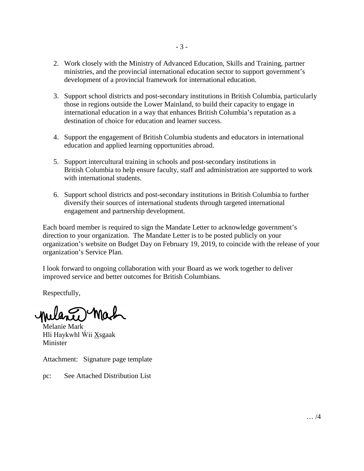- 2. Work closely with the Ministry of Advanced Education, Skills and Training, partner ministries, and the provincial international education sector to support government's development of a provincial framework for international education.
- 3. Support school districts and post-secondary institutions in British Columbia, particularly those in regions outside the Lower Mainland, to build their capacity to engage in international education in a way that enhances British Columbia's reputation as a destination of choice for education and learner success.
- 4. Support the engagement of British Columbia students and educators in international education and applied learning opportunities abroad.
- 5. Support intercultural training in schools and post-secondary institutions in British Columbia to help ensure faculty, staff and administration are supported to work with international students.
- 6. Support school districts and post-secondary institutions in British Columbia to further diversify their sources of international students through targeted international engagement and partnership development.

Each board member is required to sign the Mandate Letter to acknowledge government's direction to your organization. The Mandate Letter is to be posted publicly on your organization's website on Budget Day on February 19, 2019, to coincide with the release of your organization's Service Plan.

I look forward to ongoing collaboration with your Board as we work together to deliver improved service and better outcomes for British Columbians.

Respectfully,

Melanie Mark Hli Haykwhl Wii Xsgaak Minister

Attachment: Signature page template

pc: See Attached Distribution List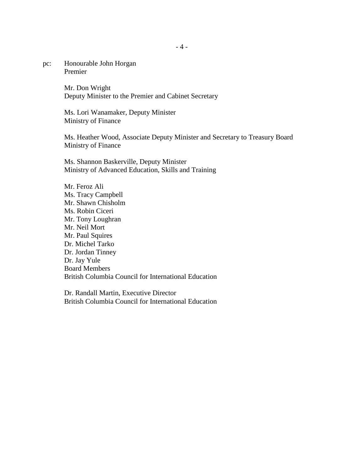pc: Honourable John Horgan Premier

> Mr. Don Wright Deputy Minister to the Premier and Cabinet Secretary

Ms. Lori Wanamaker, Deputy Minister Ministry of Finance

Ms. Heather Wood, Associate Deputy Minister and Secretary to Treasury Board Ministry of Finance

Ms. Shannon Baskerville, Deputy Minister Ministry of Advanced Education, Skills and Training

Mr. Feroz Ali Ms. Tracy Campbell Mr. Shawn Chisholm Ms. Robin Ciceri Mr. Tony Loughran Mr. Neil Mort Mr. Paul Squires Dr. Michel Tarko Dr. Jordan Tinney Dr. Jay Yule Board Members British Columbia Council for International Education

Dr. Randall Martin, Executive Director British Columbia Council for International Education